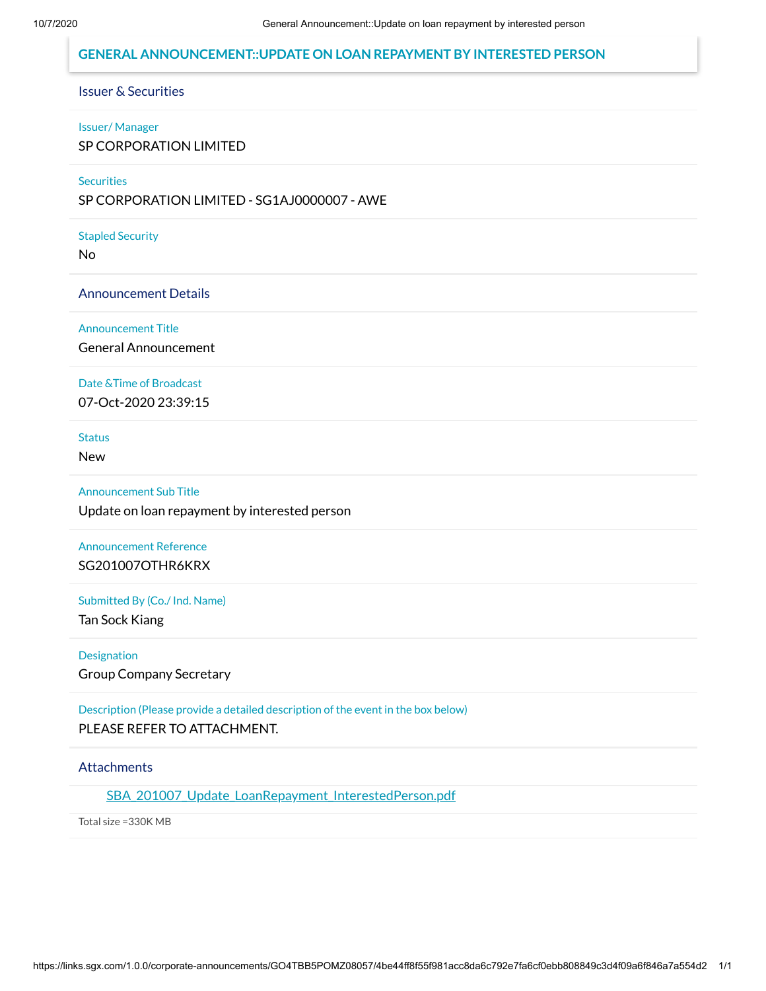## **GENERAL ANNOUNCEMENT::UPDATE ON LOAN REPAYMENT BY INTERESTED PERSON**

## Issuer & Securities

#### Issuer/ Manager

SP CORPORATION LIMITED

#### **Securities**

SP CORPORATION LIMITED - SG1AJ0000007 - AWE

#### Stapled Security

No

#### Announcement Details

Announcement Title

General Announcement

# Date &Time of Broadcast

07-Oct-2020 23:39:15

**Status** 

New

#### Announcement Sub Title

Update on loan repayment by interested person

## Announcement Reference SG201007OTHR6KRX

#### Submitted By (Co./ Ind. Name)

Tan Sock Kiang

#### **Designation**

Group Company Secretary

### Description (Please provide a detailed description of the event in the box below) PLEASE REFER TO ATTACHMENT.

#### **Attachments**

[SBA\\_201007\\_Update\\_LoanRepayment\\_InterestedPerson.pdf](https://links.sgx.com/1.0.0/corporate-announcements/GO4TBB5POMZ08057/634448_SBA_201007_Update_LoanRepayment_InterestedPerson.pdf)

Total size =330K MB